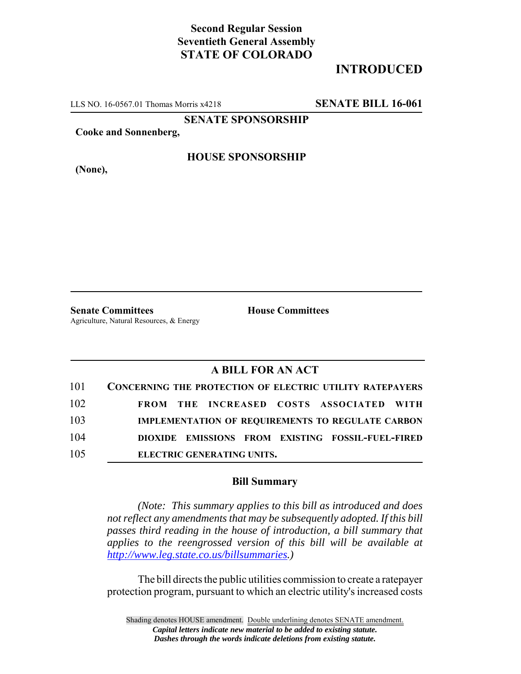## **Second Regular Session Seventieth General Assembly STATE OF COLORADO**

# **INTRODUCED**

LLS NO. 16-0567.01 Thomas Morris x4218 **SENATE BILL 16-061**

**SENATE SPONSORSHIP**

**Cooke and Sonnenberg,**

**HOUSE SPONSORSHIP**

**(None),**

**Senate Committees House Committees** Agriculture, Natural Resources, & Energy

### **A BILL FOR AN ACT**

| 101 | <b>CONCERNING THE PROTECTION OF ELECTRIC UTILITY RATEPAYERS</b> |
|-----|-----------------------------------------------------------------|
| 102 | FROM THE INCREASED COSTS ASSOCIATED WITH                        |
| 103 | <b>IMPLEMENTATION OF REQUIREMENTS TO REGULATE CARBON</b>        |
| 104 | DIOXIDE EMISSIONS FROM EXISTING FOSSIL-FUEL-FIRED               |
| 105 | ELECTRIC GENERATING UNITS.                                      |

### **Bill Summary**

*(Note: This summary applies to this bill as introduced and does not reflect any amendments that may be subsequently adopted. If this bill passes third reading in the house of introduction, a bill summary that applies to the reengrossed version of this bill will be available at http://www.leg.state.co.us/billsummaries.)*

The bill directs the public utilities commission to create a ratepayer protection program, pursuant to which an electric utility's increased costs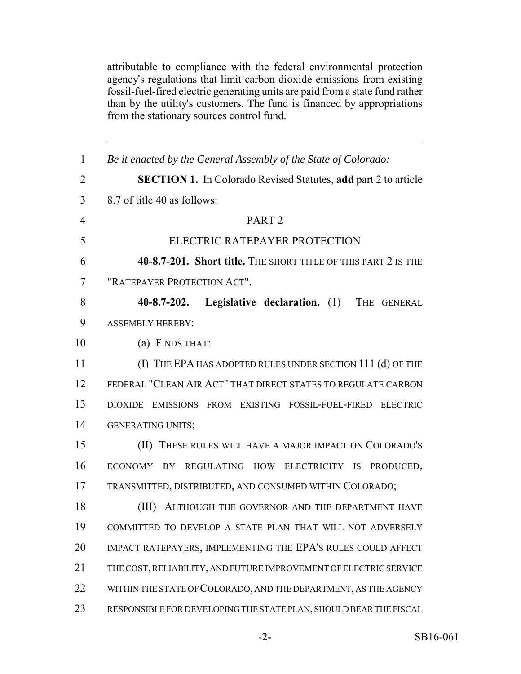attributable to compliance with the federal environmental protection agency's regulations that limit carbon dioxide emissions from existing fossil-fuel-fired electric generating units are paid from a state fund rather than by the utility's customers. The fund is financed by appropriations from the stationary sources control fund.

| $\mathbf{1}$   | Be it enacted by the General Assembly of the State of Colorado:       |
|----------------|-----------------------------------------------------------------------|
| $\overline{2}$ | <b>SECTION 1.</b> In Colorado Revised Statutes, add part 2 to article |
| 3              | 8.7 of title 40 as follows:                                           |
| $\overline{4}$ | PART <sub>2</sub>                                                     |
| 5              | ELECTRIC RATEPAYER PROTECTION                                         |
| 6              | 40-8.7-201. Short title. THE SHORT TITLE OF THIS PART 2 IS THE        |
| 7              | "RATEPAYER PROTECTION ACT".                                           |
| 8              | $40 - 8.7 - 202.$<br>Legislative declaration. (1) THE GENERAL         |
| 9              | <b>ASSEMBLY HEREBY:</b>                                               |
| 10             | (a) FINDS THAT:                                                       |
| 11             | (I) THE EPA HAS ADOPTED RULES UNDER SECTION 111 (d) OF THE            |
| 12             | FEDERAL "CLEAN AIR ACT" THAT DIRECT STATES TO REGULATE CARBON         |
| 13             | DIOXIDE EMISSIONS FROM EXISTING FOSSIL-FUEL-FIRED ELECTRIC            |
| 14             | <b>GENERATING UNITS;</b>                                              |
| 15             | (II) THESE RULES WILL HAVE A MAJOR IMPACT ON COLORADO'S               |
| 16             | ECONOMY BY<br>REGULATING HOW ELECTRICITY IS<br>PRODUCED,              |
| 17             | TRANSMITTED, DISTRIBUTED, AND CONSUMED WITHIN COLORADO;               |
| 18             | ALTHOUGH THE GOVERNOR AND THE DEPARTMENT HAVE<br>(III)                |
| 19             | COMMITTED TO DEVELOP A STATE PLAN THAT WILL NOT ADVERSELY             |
| 20             | IMPACT RATEPAYERS, IMPLEMENTING THE EPA'S RULES COULD AFFECT          |
| 21             | THE COST, RELIABILITY, AND FUTURE IMPROVEMENT OF ELECTRIC SERVICE     |
| 22             | WITHIN THE STATE OF COLORADO, AND THE DEPARTMENT, AS THE AGENCY       |
| 23             | RESPONSIBLE FOR DEVELOPING THE STATE PLAN, SHOULD BEAR THE FISCAL     |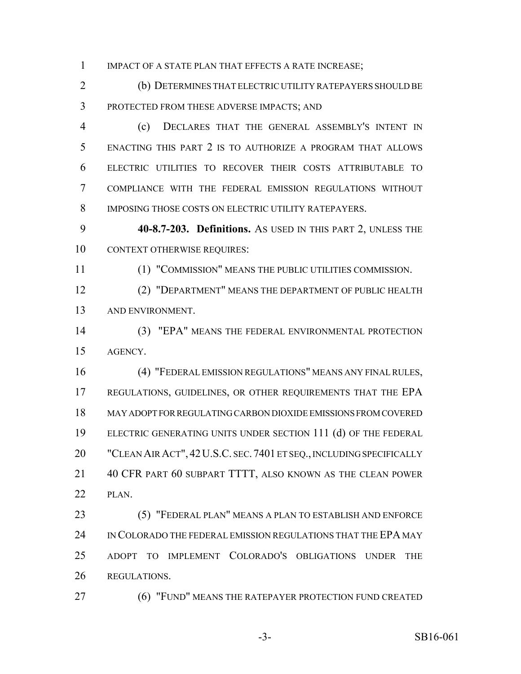1 IMPACT OF A STATE PLAN THAT EFFECTS A RATE INCREASE;

 (b) DETERMINES THAT ELECTRIC UTILITY RATEPAYERS SHOULD BE PROTECTED FROM THESE ADVERSE IMPACTS; AND

 (c) DECLARES THAT THE GENERAL ASSEMBLY'S INTENT IN ENACTING THIS PART 2 IS TO AUTHORIZE A PROGRAM THAT ALLOWS ELECTRIC UTILITIES TO RECOVER THEIR COSTS ATTRIBUTABLE TO COMPLIANCE WITH THE FEDERAL EMISSION REGULATIONS WITHOUT IMPOSING THOSE COSTS ON ELECTRIC UTILITY RATEPAYERS.

 **40-8.7-203. Definitions.** AS USED IN THIS PART 2, UNLESS THE 10 CONTEXT OTHERWISE REQUIRES:

(1) "COMMISSION" MEANS THE PUBLIC UTILITIES COMMISSION.

 (2) "DEPARTMENT" MEANS THE DEPARTMENT OF PUBLIC HEALTH AND ENVIRONMENT.

 (3) "EPA" MEANS THE FEDERAL ENVIRONMENTAL PROTECTION AGENCY.

 (4) "FEDERAL EMISSION REGULATIONS" MEANS ANY FINAL RULES, REGULATIONS, GUIDELINES, OR OTHER REQUIREMENTS THAT THE EPA MAY ADOPT FOR REGULATING CARBON DIOXIDE EMISSIONS FROM COVERED ELECTRIC GENERATING UNITS UNDER SECTION 111 (d) OF THE FEDERAL "CLEAN AIR ACT", 42U.S.C. SEC.7401 ET SEQ., INCLUDING SPECIFICALLY 40 CFR PART 60 SUBPART TTTT, ALSO KNOWN AS THE CLEAN POWER 22 PLAN.

 (5) "FEDERAL PLAN" MEANS A PLAN TO ESTABLISH AND ENFORCE IN COLORADO THE FEDERAL EMISSION REGULATIONS THAT THE EPA MAY ADOPT TO IMPLEMENT COLORADO'S OBLIGATIONS UNDER THE REGULATIONS.

**(6) "FUND" MEANS THE RATEPAYER PROTECTION FUND CREATED**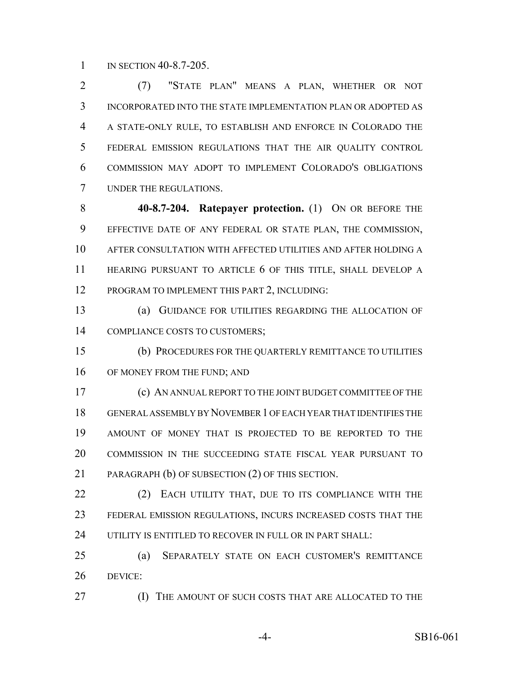1 IN SECTION 40-8.7-205.

 (7) "STATE PLAN" MEANS A PLAN, WHETHER OR NOT INCORPORATED INTO THE STATE IMPLEMENTATION PLAN OR ADOPTED AS A STATE-ONLY RULE, TO ESTABLISH AND ENFORCE IN COLORADO THE FEDERAL EMISSION REGULATIONS THAT THE AIR QUALITY CONTROL COMMISSION MAY ADOPT TO IMPLEMENT COLORADO'S OBLIGATIONS UNDER THE REGULATIONS.

 **40-8.7-204. Ratepayer protection.** (1) ON OR BEFORE THE EFFECTIVE DATE OF ANY FEDERAL OR STATE PLAN, THE COMMISSION, AFTER CONSULTATION WITH AFFECTED UTILITIES AND AFTER HOLDING A HEARING PURSUANT TO ARTICLE 6 OF THIS TITLE, SHALL DEVELOP A PROGRAM TO IMPLEMENT THIS PART 2, INCLUDING:

 (a) GUIDANCE FOR UTILITIES REGARDING THE ALLOCATION OF COMPLIANCE COSTS TO CUSTOMERS;

 (b) PROCEDURES FOR THE QUARTERLY REMITTANCE TO UTILITIES 16 OF MONEY FROM THE FUND; AND

 (c) AN ANNUAL REPORT TO THE JOINT BUDGET COMMITTEE OF THE GENERAL ASSEMBLY BY NOVEMBER 1 OF EACH YEAR THAT IDENTIFIES THE AMOUNT OF MONEY THAT IS PROJECTED TO BE REPORTED TO THE COMMISSION IN THE SUCCEEDING STATE FISCAL YEAR PURSUANT TO PARAGRAPH (b) OF SUBSECTION (2) OF THIS SECTION.

22 (2) EACH UTILITY THAT, DUE TO ITS COMPLIANCE WITH THE FEDERAL EMISSION REGULATIONS, INCURS INCREASED COSTS THAT THE 24 UTILITY IS ENTITLED TO RECOVER IN FULL OR IN PART SHALL:

 (a) SEPARATELY STATE ON EACH CUSTOMER'S REMITTANCE DEVICE:

(I) THE AMOUNT OF SUCH COSTS THAT ARE ALLOCATED TO THE

-4- SB16-061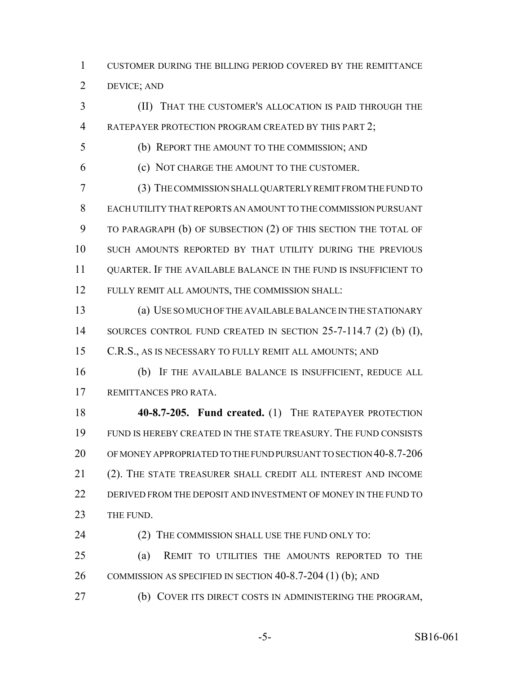CUSTOMER DURING THE BILLING PERIOD COVERED BY THE REMITTANCE DEVICE; AND

 (II) THAT THE CUSTOMER'S ALLOCATION IS PAID THROUGH THE 4 RATEPAYER PROTECTION PROGRAM CREATED BY THIS PART 2;

(b) REPORT THE AMOUNT TO THE COMMISSION; AND

(c) NOT CHARGE THE AMOUNT TO THE CUSTOMER.

 (3) THE COMMISSION SHALL QUARTERLY REMIT FROM THE FUND TO EACH UTILITY THAT REPORTS AN AMOUNT TO THE COMMISSION PURSUANT TO PARAGRAPH (b) OF SUBSECTION (2) OF THIS SECTION THE TOTAL OF SUCH AMOUNTS REPORTED BY THAT UTILITY DURING THE PREVIOUS QUARTER. IF THE AVAILABLE BALANCE IN THE FUND IS INSUFFICIENT TO FULLY REMIT ALL AMOUNTS, THE COMMISSION SHALL:

 (a) USE SO MUCH OF THE AVAILABLE BALANCE IN THE STATIONARY 14 SOURCES CONTROL FUND CREATED IN SECTION 25-7-114.7 (2) (b) (I), C.R.S., AS IS NECESSARY TO FULLY REMIT ALL AMOUNTS; AND

 (b) IF THE AVAILABLE BALANCE IS INSUFFICIENT, REDUCE ALL REMITTANCES PRO RATA.

 **40-8.7-205. Fund created.** (1) THE RATEPAYER PROTECTION FUND IS HEREBY CREATED IN THE STATE TREASURY. THE FUND CONSISTS OF MONEY APPROPRIATED TO THE FUND PURSUANT TO SECTION 40-8.7-206 (2). THE STATE TREASURER SHALL CREDIT ALL INTEREST AND INCOME DERIVED FROM THE DEPOSIT AND INVESTMENT OF MONEY IN THE FUND TO 23 THE FUND.

24 (2) THE COMMISSION SHALL USE THE FUND ONLY TO:

 (a) REMIT TO UTILITIES THE AMOUNTS REPORTED TO THE COMMISSION AS SPECIFIED IN SECTION 40-8.7-204 (1) (b); AND

(b) COVER ITS DIRECT COSTS IN ADMINISTERING THE PROGRAM,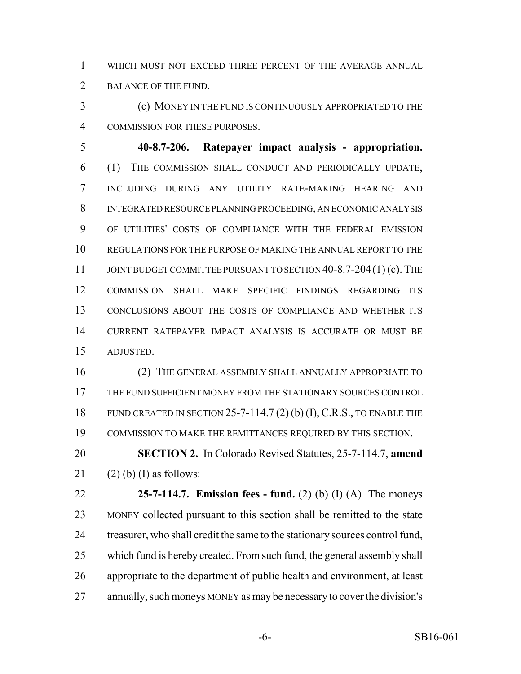WHICH MUST NOT EXCEED THREE PERCENT OF THE AVERAGE ANNUAL BALANCE OF THE FUND.

 (c) MONEY IN THE FUND IS CONTINUOUSLY APPROPRIATED TO THE COMMISSION FOR THESE PURPOSES.

 **40-8.7-206. Ratepayer impact analysis - appropriation.** (1) THE COMMISSION SHALL CONDUCT AND PERIODICALLY UPDATE, INCLUDING DURING ANY UTILITY RATE-MAKING HEARING AND INTEGRATED RESOURCE PLANNING PROCEEDING, AN ECONOMIC ANALYSIS OF UTILITIES' COSTS OF COMPLIANCE WITH THE FEDERAL EMISSION REGULATIONS FOR THE PURPOSE OF MAKING THE ANNUAL REPORT TO THE 11 JOINT BUDGET COMMITTEE PURSUANT TO SECTION 40-8.7-204(1) (c). THE COMMISSION SHALL MAKE SPECIFIC FINDINGS REGARDING ITS CONCLUSIONS ABOUT THE COSTS OF COMPLIANCE AND WHETHER ITS CURRENT RATEPAYER IMPACT ANALYSIS IS ACCURATE OR MUST BE ADJUSTED.

 (2) THE GENERAL ASSEMBLY SHALL ANNUALLY APPROPRIATE TO THE FUND SUFFICIENT MONEY FROM THE STATIONARY SOURCES CONTROL FUND CREATED IN SECTION 25-7-114.7 (2) (b) (I), C.R.S., TO ENABLE THE COMMISSION TO MAKE THE REMITTANCES REQUIRED BY THIS SECTION.

 **SECTION 2.** In Colorado Revised Statutes, 25-7-114.7, **amend** 21 (2) (b) (I) as follows:

 **25-7-114.7. Emission fees - fund.** (2) (b) (I) (A) The moneys MONEY collected pursuant to this section shall be remitted to the state treasurer, who shall credit the same to the stationary sources control fund, which fund is hereby created. From such fund, the general assembly shall appropriate to the department of public health and environment, at least 27 annually, such moneys MONEY as may be necessary to cover the division's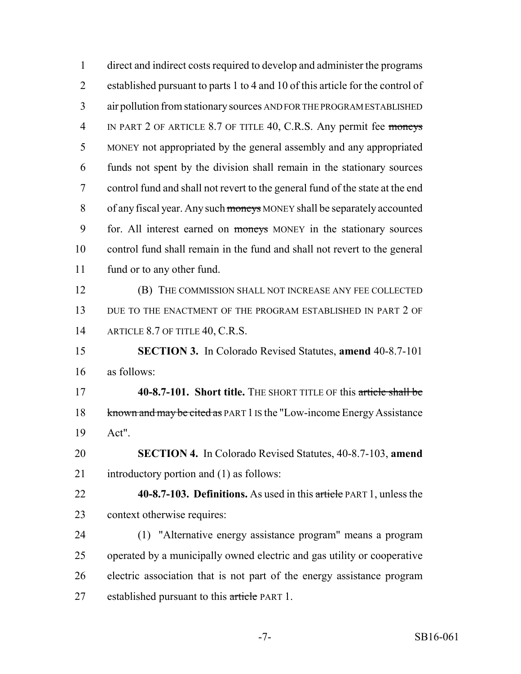| $\mathbf{1}$   | direct and indirect costs required to develop and administer the programs      |
|----------------|--------------------------------------------------------------------------------|
| $\overline{2}$ | established pursuant to parts 1 to 4 and 10 of this article for the control of |
| 3              | air pollution from stationary sources AND FOR THE PROGRAM ESTABLISHED          |
| $\overline{4}$ | IN PART 2 OF ARTICLE 8.7 OF TITLE 40, C.R.S. Any permit fee moneys             |
| 5              | MONEY not appropriated by the general assembly and any appropriated            |
| 6              | funds not spent by the division shall remain in the stationary sources         |
| 7              | control fund and shall not revert to the general fund of the state at the end  |
| 8              | of any fiscal year. Any such moneys MONEY shall be separately accounted        |
| 9              | for. All interest earned on moneys MONEY in the stationary sources             |
| 10             | control fund shall remain in the fund and shall not revert to the general      |
| 11             | fund or to any other fund.                                                     |
| 12             | (B) THE COMMISSION SHALL NOT INCREASE ANY FEE COLLECTED                        |
| 13             | DUE TO THE ENACTMENT OF THE PROGRAM ESTABLISHED IN PART 2 OF                   |
| 14             | ARTICLE 8.7 OF TITLE 40, C.R.S.                                                |
| 15             | <b>SECTION 3.</b> In Colorado Revised Statutes, <b>amend</b> 40-8.7-101        |
| 16             | as follows:                                                                    |
| 17             | 40-8.7-101. Short title. THE SHORT TITLE OF this article shall be              |
| 18             | known and may be cited as PART 1 IS the "Low-income Energy Assistance          |
| 19             | Act".                                                                          |
| 20             | <b>SECTION 4.</b> In Colorado Revised Statutes, 40-8.7-103, amend              |
| 21             | introductory portion and (1) as follows:                                       |
| 22             | 40-8.7-103. Definitions. As used in this article PART 1, unless the            |
| 23             | context otherwise requires:                                                    |
| 24             | (1) "Alternative energy assistance program" means a program                    |
| 25             | operated by a municipally owned electric and gas utility or cooperative        |
| 26             | electric association that is not part of the energy assistance program         |
| 27             | established pursuant to this article PART 1.                                   |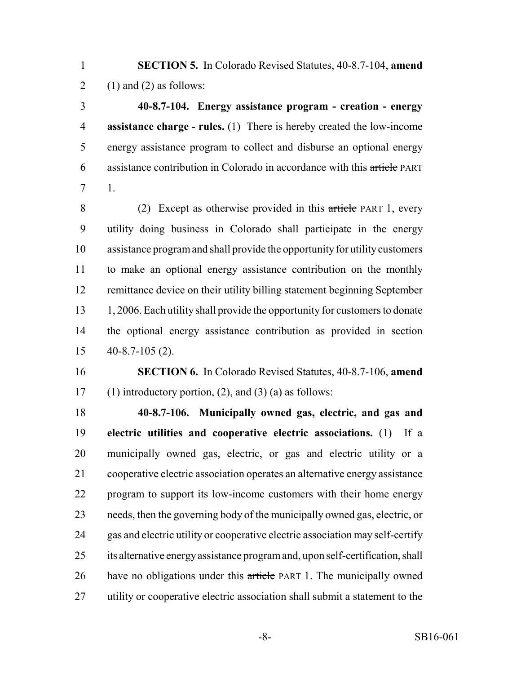**SECTION 5.** In Colorado Revised Statutes, 40-8.7-104, **amend** 2 (1) and (2) as follows:

 **40-8.7-104. Energy assistance program - creation - energy assistance charge - rules.** (1) There is hereby created the low-income energy assistance program to collect and disburse an optional energy assistance contribution in Colorado in accordance with this article PART 1.

 (2) Except as otherwise provided in this article PART 1, every utility doing business in Colorado shall participate in the energy assistance program and shall provide the opportunity for utility customers to make an optional energy assistance contribution on the monthly remittance device on their utility billing statement beginning September 13 1, 2006. Each utility shall provide the opportunity for customers to donate the optional energy assistance contribution as provided in section 40-8.7-105 (2).

 **SECTION 6.** In Colorado Revised Statutes, 40-8.7-106, **amend** 17 (1) introductory portion, (2), and (3) (a) as follows:

 **40-8.7-106. Municipally owned gas, electric, and gas and electric utilities and cooperative electric associations.** (1) If a municipally owned gas, electric, or gas and electric utility or a cooperative electric association operates an alternative energy assistance program to support its low-income customers with their home energy needs, then the governing body of the municipally owned gas, electric, or gas and electric utility or cooperative electric association may self-certify its alternative energy assistance program and, upon self-certification, shall have no obligations under this article PART 1. The municipally owned utility or cooperative electric association shall submit a statement to the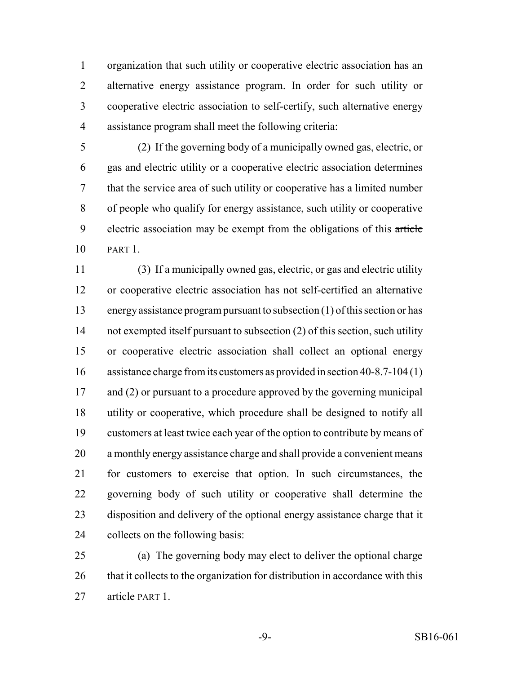organization that such utility or cooperative electric association has an alternative energy assistance program. In order for such utility or cooperative electric association to self-certify, such alternative energy assistance program shall meet the following criteria:

 (2) If the governing body of a municipally owned gas, electric, or gas and electric utility or a cooperative electric association determines that the service area of such utility or cooperative has a limited number of people who qualify for energy assistance, such utility or cooperative 9 electric association may be exempt from the obligations of this article PART 1.

 (3) If a municipally owned gas, electric, or gas and electric utility or cooperative electric association has not self-certified an alternative energy assistance program pursuant to subsection (1) of this section or has not exempted itself pursuant to subsection (2) of this section, such utility or cooperative electric association shall collect an optional energy assistance charge from its customers as provided in section 40-8.7-104 (1) 17 and (2) or pursuant to a procedure approved by the governing municipal utility or cooperative, which procedure shall be designed to notify all customers at least twice each year of the option to contribute by means of a monthly energy assistance charge and shall provide a convenient means for customers to exercise that option. In such circumstances, the governing body of such utility or cooperative shall determine the disposition and delivery of the optional energy assistance charge that it collects on the following basis:

 (a) The governing body may elect to deliver the optional charge 26 that it collects to the organization for distribution in accordance with this 27 article PART 1.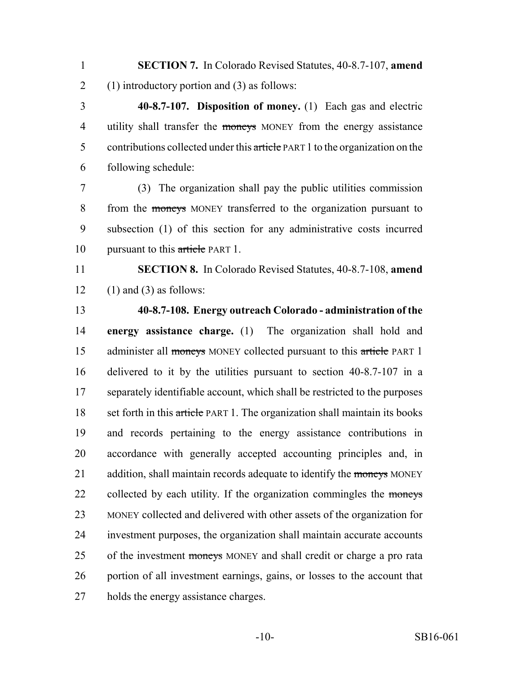**SECTION 7.** In Colorado Revised Statutes, 40-8.7-107, **amend** (1) introductory portion and (3) as follows:

 **40-8.7-107. Disposition of money.** (1) Each gas and electric 4 utility shall transfer the moneys MONEY from the energy assistance 5 contributions collected under this article PART 1 to the organization on the following schedule:

 (3) The organization shall pay the public utilities commission from the moneys MONEY transferred to the organization pursuant to subsection (1) of this section for any administrative costs incurred 10 pursuant to this article PART 1.

 **SECTION 8.** In Colorado Revised Statutes, 40-8.7-108, **amend** 12 (1) and (3) as follows:

#### **40-8.7-108. Energy outreach Colorado - administration of the**

 **energy assistance charge.** (1) The organization shall hold and 15 administer all moneys MONEY collected pursuant to this article PART 1 delivered to it by the utilities pursuant to section 40-8.7-107 in a separately identifiable account, which shall be restricted to the purposes 18 set forth in this article PART 1. The organization shall maintain its books and records pertaining to the energy assistance contributions in accordance with generally accepted accounting principles and, in 21 addition, shall maintain records adequate to identify the moneys MONEY 22 collected by each utility. If the organization commingles the moneys MONEY collected and delivered with other assets of the organization for investment purposes, the organization shall maintain accurate accounts 25 of the investment moneys MONEY and shall credit or charge a pro rata portion of all investment earnings, gains, or losses to the account that holds the energy assistance charges.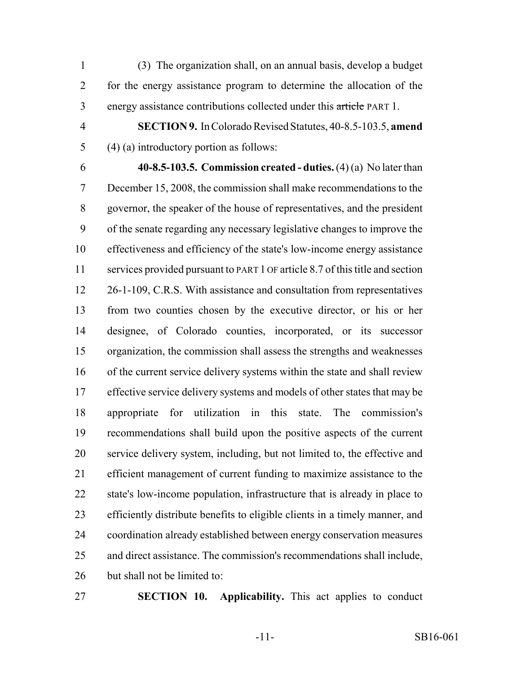(3) The organization shall, on an annual basis, develop a budget for the energy assistance program to determine the allocation of the energy assistance contributions collected under this article PART 1.

 **SECTION 9.** In Colorado Revised Statutes, 40-8.5-103.5, **amend** (4) (a) introductory portion as follows:

 **40-8.5-103.5. Commission created - duties.** (4) (a) No later than December 15, 2008, the commission shall make recommendations to the governor, the speaker of the house of representatives, and the president of the senate regarding any necessary legislative changes to improve the effectiveness and efficiency of the state's low-income energy assistance services provided pursuant to PART 1 OF article 8.7 of this title and section 12 26-1-109, C.R.S. With assistance and consultation from representatives from two counties chosen by the executive director, or his or her designee, of Colorado counties, incorporated, or its successor organization, the commission shall assess the strengths and weaknesses of the current service delivery systems within the state and shall review 17 effective service delivery systems and models of other states that may be appropriate for utilization in this state. The commission's recommendations shall build upon the positive aspects of the current service delivery system, including, but not limited to, the effective and efficient management of current funding to maximize assistance to the state's low-income population, infrastructure that is already in place to efficiently distribute benefits to eligible clients in a timely manner, and coordination already established between energy conservation measures and direct assistance. The commission's recommendations shall include, but shall not be limited to:

**SECTION 10. Applicability.** This act applies to conduct